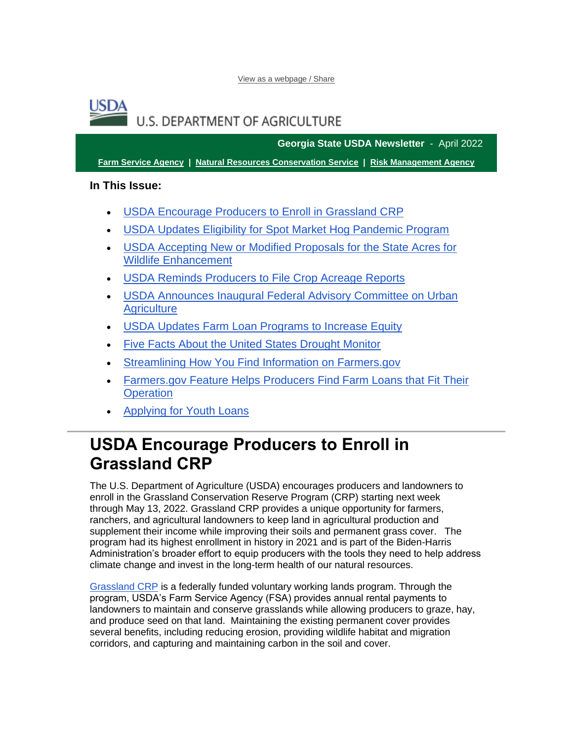[View as a webpage / Share](https://content.govdelivery.com/accounts/USDAFARMERS/bulletins/30f7b77)

### USD4 **U.S. DEPARTMENT OF AGRICULTURE**

**Georgia State USDA Newsletter** - April 2022

**[Farm Service Agency](https://gcc02.safelinks.protection.outlook.com/?url=https%3A%2F%2Ffsa.usda.gov%2F%3Futm_medium%3Demail%26utm_source%3Dgovdelivery&data=05%7C01%7C%7Cdf61ec3bdd164218b99908da2217c3b8%7Ced5b36e701ee4ebc867ee03cfa0d4697%7C0%7C0%7C637859783462628803%7CUnknown%7CTWFpbGZsb3d8eyJWIjoiMC4wLjAwMDAiLCJQIjoiV2luMzIiLCJBTiI6Ik1haWwiLCJXVCI6Mn0%3D%7C3000%7C%7C%7C&sdata=x6qgY9B6z0uD0Y0Ar%2FMwcMje1cOPeZZFIvCU6yGPdkk%3D&reserved=0) | [Natural Resources Conservation Service](https://gcc02.safelinks.protection.outlook.com/?url=https%3A%2F%2Fwww.nrcs.usda.gov%2Fwps%2Fportal%2Fnrcs%2Fsite%2Fnational%2Fhome%2F%3Futm_medium%3Demail%26utm_source%3Dgovdelivery&data=05%7C01%7C%7Cdf61ec3bdd164218b99908da2217c3b8%7Ced5b36e701ee4ebc867ee03cfa0d4697%7C0%7C0%7C637859783462628803%7CUnknown%7CTWFpbGZsb3d8eyJWIjoiMC4wLjAwMDAiLCJQIjoiV2luMzIiLCJBTiI6Ik1haWwiLCJXVCI6Mn0%3D%7C3000%7C%7C%7C&sdata=O5DZUIWoKv1j0o%2FU1p%2B6fNqlsyZ5%2FLamohWXXuXz7fI%3D&reserved=0) | [Risk Management Agency](https://gcc02.safelinks.protection.outlook.com/?url=https%3A%2F%2Frma.usda.gov%2F%3Futm_medium%3Demail%26utm_source%3Dgovdelivery&data=05%7C01%7C%7Cdf61ec3bdd164218b99908da2217c3b8%7Ced5b36e701ee4ebc867ee03cfa0d4697%7C0%7C0%7C637859783462628803%7CUnknown%7CTWFpbGZsb3d8eyJWIjoiMC4wLjAwMDAiLCJQIjoiV2luMzIiLCJBTiI6Ik1haWwiLCJXVCI6Mn0%3D%7C3000%7C%7C%7C&sdata=t%2BqJ%2BFgAGK52gUCAxbxXyHc3OYR8tuTwfW4MfxxIHS4%3D&reserved=0)**

**In This Issue:**

- [USDA Encourage Producers to Enroll in Grassland CRP](#page-0-0)
- [USDA Updates Eligibility for Spot Market Hog Pandemic Program](#page-2-0)
- [USDA Accepting New or Modified Proposals for the State Acres for](#page-3-0)  [Wildlife Enhancement](#page-3-0)
- [USDA Reminds Producers to File Crop Acreage Reports](#page-4-0)
- [USDA Announces Inaugural Federal Advisory Committee on Urban](#page-5-0)  **[Agriculture](#page-5-0)**
- [USDA Updates Farm Loan Programs to Increase Equity](#page-6-0)
- [Five Facts About the United States Drought Monitor](#page-8-0)
- [Streamlining How You Find Information on Farmers.gov](#page-10-0)
- [Farmers.gov Feature Helps Producers Find Farm Loans that Fit Their](#page-11-0)  **[Operation](#page-11-0)**
- [Applying for Youth Loans](#page-12-0)

# <span id="page-0-0"></span>**USDA Encourage Producers to Enroll in Grassland CRP**

The U.S. Department of Agriculture (USDA) encourages producers and landowners to enroll in the Grassland Conservation Reserve Program (CRP) starting next week through May 13, 2022. Grassland CRP provides a unique opportunity for farmers, ranchers, and agricultural landowners to keep land in agricultural production and supplement their income while improving their soils and permanent grass cover. The program had its highest enrollment in history in 2021 and is part of the Biden-Harris Administration's broader effort to equip producers with the tools they need to help address climate change and invest in the long-term health of our natural resources.

[Grassland CRP](https://gcc02.safelinks.protection.outlook.com/?url=https%3A%2F%2Fwww.fsa.usda.gov%2Fprograms-and-services%2Fconservation-programs%2Fcrp-grasslands%2Findex%3Futm_medium%3Demail%26utm_source%3Dgovdelivery&data=05%7C01%7C%7Cdf61ec3bdd164218b99908da2217c3b8%7Ced5b36e701ee4ebc867ee03cfa0d4697%7C0%7C0%7C637859783462628803%7CUnknown%7CTWFpbGZsb3d8eyJWIjoiMC4wLjAwMDAiLCJQIjoiV2luMzIiLCJBTiI6Ik1haWwiLCJXVCI6Mn0%3D%7C3000%7C%7C%7C&sdata=GG6ex7Sqzgs4%2FTRA1qklw0RwQwiuvB6TRMb%2BXbCa7%2BA%3D&reserved=0) is a federally funded voluntary working lands program. Through the program, USDA's Farm Service Agency (FSA) provides annual rental payments to landowners to maintain and conserve grasslands while allowing producers to graze, hay, and produce seed on that land. Maintaining the existing permanent cover provides several benefits, including reducing erosion, providing wildlife habitat and migration corridors, and capturing and maintaining carbon in the soil and cover.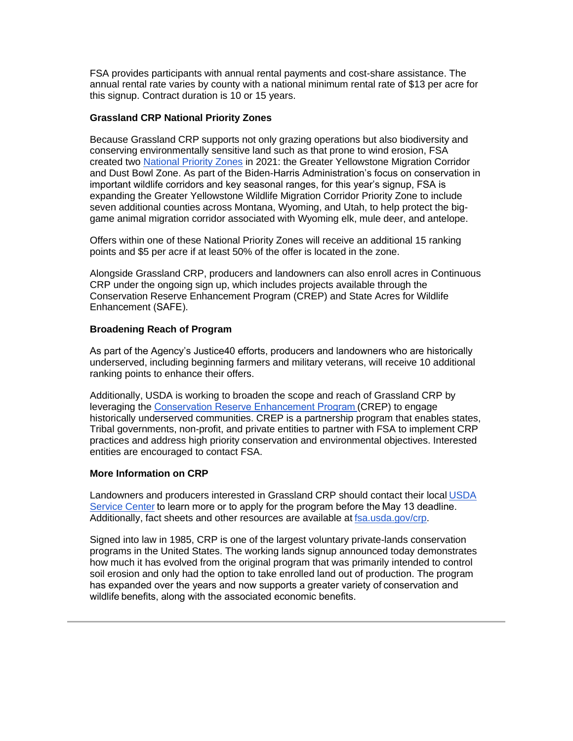FSA provides participants with annual rental payments and cost-share assistance. The annual rental rate varies by county with a national minimum rental rate of \$13 per acre for this signup. Contract duration is 10 or 15 years.

#### **Grassland CRP National Priority Zones**

Because Grassland CRP supports not only grazing operations but also biodiversity and conserving environmentally sensitive land such as that prone to wind erosion, FSA created two [National Priority Zones](https://gcc02.safelinks.protection.outlook.com/?url=https%3A%2F%2Fwww.fsa.usda.gov%2FAssets%2FUSDA-FSA-Public%2Fusdafiles%2FConservation%2FPDF%2Fnational_grassland_crp_priority_zones_su203.pdf%3Futm_medium%3Demail%26utm_source%3Dgovdelivery&data=05%7C01%7C%7Cdf61ec3bdd164218b99908da2217c3b8%7Ced5b36e701ee4ebc867ee03cfa0d4697%7C0%7C0%7C637859783462628803%7CUnknown%7CTWFpbGZsb3d8eyJWIjoiMC4wLjAwMDAiLCJQIjoiV2luMzIiLCJBTiI6Ik1haWwiLCJXVCI6Mn0%3D%7C3000%7C%7C%7C&sdata=2gtFRpo6mewwyi%2Bn%2BkHJcxiaqUqRTkP%2FoKhd1XC4omE%3D&reserved=0) in 2021: the Greater Yellowstone Migration Corridor and Dust Bowl Zone. As part of the Biden-Harris Administration's focus on conservation in important wildlife corridors and key seasonal ranges, for this year's signup, FSA is expanding the Greater Yellowstone Wildlife Migration Corridor Priority Zone to include seven additional counties across Montana, Wyoming, and Utah, to help protect the biggame animal migration corridor associated with Wyoming elk, mule deer, and antelope.

Offers within one of these National Priority Zones will receive an additional 15 ranking points and \$5 per acre if at least 50% of the offer is located in the zone.

Alongside Grassland CRP, producers and landowners can also enroll acres in Continuous CRP under the ongoing sign up, which includes projects available through the Conservation Reserve Enhancement Program (CREP) and State Acres for Wildlife Enhancement (SAFE).   

#### **Broadening Reach of Program**

As part of the Agency's Justice40 efforts, producers and landowners who are historically underserved, including beginning farmers and military veterans, will receive 10 additional ranking points to enhance their offers.

Additionally, USDA is working to broaden the scope and reach of Grassland CRP by leveraging the [Conservation Reserve Enhancement Program \(](https://gcc02.safelinks.protection.outlook.com/?url=https%3A%2F%2Fwww.fsa.usda.gov%2Fprograms-and-services%2Fconservation-programs%2Fconservation-reserve-enhancement%2Findex%3Futm_medium%3Demail%26utm_source%3Dgovdelivery&data=05%7C01%7C%7Cdf61ec3bdd164218b99908da2217c3b8%7Ced5b36e701ee4ebc867ee03cfa0d4697%7C0%7C0%7C637859783462628803%7CUnknown%7CTWFpbGZsb3d8eyJWIjoiMC4wLjAwMDAiLCJQIjoiV2luMzIiLCJBTiI6Ik1haWwiLCJXVCI6Mn0%3D%7C3000%7C%7C%7C&sdata=Y%2BkAwVmR%2F5%2FluUoOF5Uc%2FrXCiASQlwhhZZEeD8xAmPw%3D&reserved=0)CREP) to engage historically underserved communities. CREP is a partnership program that enables states, Tribal governments, non-profit, and private entities to partner with FSA to implement CRP practices and address high priority conservation and environmental objectives. Interested entities are encouraged to contact FSA.

#### **More Information on CRP**

Landowners and producers interested in Grassland CRP should contact their local [USDA](http://www.farmers.gov/service-locator?utm_medium=email&utm_source=govdelivery)  [Service Center](http://www.farmers.gov/service-locator?utm_medium=email&utm_source=govdelivery) to learn more or to apply for the program before the May 13 deadline.  Additionally, fact sheets and other resources are available at [fsa.usda.gov/crp.](https://gcc02.safelinks.protection.outlook.com/?url=https%3A%2F%2Fwww.fsa.usda.gov%2Fprograms-and-services%2Fconservation-programs%2Fconservation-reserve-program%2Findex%3Futm_medium%3Demail%26utm_source%3Dgovdelivery&data=05%7C01%7C%7Cdf61ec3bdd164218b99908da2217c3b8%7Ced5b36e701ee4ebc867ee03cfa0d4697%7C0%7C0%7C637859783462628803%7CUnknown%7CTWFpbGZsb3d8eyJWIjoiMC4wLjAwMDAiLCJQIjoiV2luMzIiLCJBTiI6Ik1haWwiLCJXVCI6Mn0%3D%7C3000%7C%7C%7C&sdata=W5o0FTZQA4VfbKnLqdTaeJRitZouietOLqK%2BSlLtrl8%3D&reserved=0)     

Signed into law in 1985, CRP is one of the largest voluntary private-lands conservation programs in the United States. The working lands signup announced today demonstrates how much it has evolved from the original program that was primarily intended to control soil erosion and only had the option to take enrolled land out of production. The program has expanded over the years and now supports a greater variety of conservation and wildlife benefits, along with the associated economic benefits.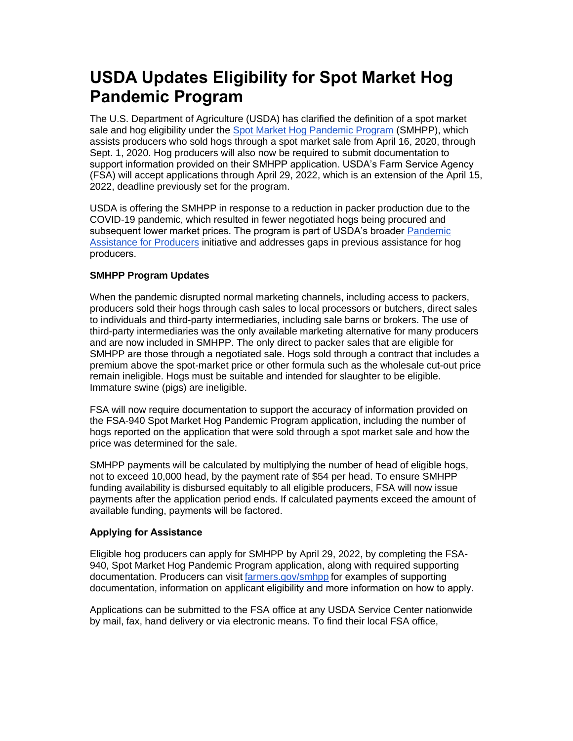# <span id="page-2-0"></span>**USDA Updates Eligibility for Spot Market Hog Pandemic Program**

The U.S. Department of Agriculture (USDA) has clarified the definition of a spot market sale and hog eligibility under the [Spot Market Hog Pandemic Program](http://www.farmers.gov/smhpp?utm_medium=email&utm_source=govdelivery) (SMHPP), which assists producers who sold hogs through a spot market sale from April 16, 2020, through Sept. 1, 2020. Hog producers will also now be required to submit documentation to support information provided on their SMHPP application. USDA's Farm Service Agency (FSA) will accept applications through April 29, 2022, which is an extension of the April 15, 2022, deadline previously set for the program.

USDA is offering the SMHPP in response to a reduction in packer production due to the COVID-19 pandemic, which resulted in fewer negotiated hogs being procured and subsequent lower market prices. The program is part of USDA's broader Pandemic [Assistance for Producers](http://www.farmers.gov/pandemic-assistance?utm_medium=email&utm_source=govdelivery) initiative and addresses gaps in previous assistance for hog producers.  

#### **SMHPP Program Updates**

When the pandemic disrupted normal marketing channels, including access to packers, producers sold their hogs through cash sales to local processors or butchers, direct sales to individuals and third-party intermediaries, including sale barns or brokers. The use of third-party intermediaries was the only available marketing alternative for many producers and are now included in SMHPP. The only direct to packer sales that are eligible for SMHPP are those through a negotiated sale. Hogs sold through a contract that includes a premium above the spot-market price or other formula such as the wholesale cut-out price remain ineligible. Hogs must be suitable and intended for slaughter to be eligible. Immature swine (pigs) are ineligible.

FSA will now require documentation to support the accuracy of information provided on the FSA-940 Spot Market Hog Pandemic Program application, including the number of hogs reported on the application that were sold through a spot market sale and how the price was determined for the sale.

SMHPP payments will be calculated by multiplying the number of head of eligible hogs, not to exceed 10,000 head, by the payment rate of \$54 per head. To ensure SMHPP funding availability is disbursed equitably to all eligible producers, FSA will now issue payments after the application period ends. If calculated payments exceed the amount of available funding, payments will be factored.  

#### **Applying for Assistance**

Eligible hog producers can apply for SMHPP by April 29, 2022, by completing the FSA-940, Spot Market Hog Pandemic Program application, along with required supporting documentation. Producers can visit [farmers.gov/smhpp](http://www.farmers.gov/smhpp?utm_medium=email&utm_source=govdelivery) for examples of supporting documentation, information on applicant eligibility and more information on how to apply.   

Applications can be submitted to the FSA office at any USDA Service Center nationwide by mail, fax, hand delivery or via electronic means. To find their local FSA office,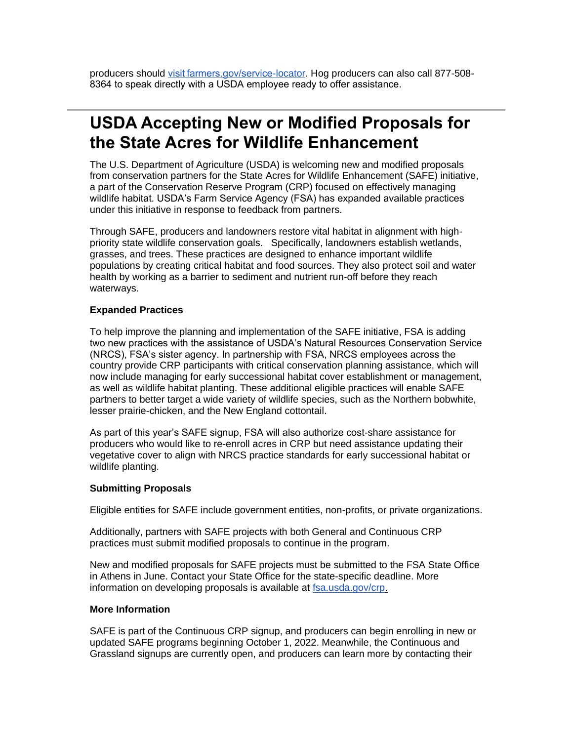producers should [visit farmers.gov/service-locator.](http://www.farmers.gov/service-locator?utm_medium=email&utm_source=govdelivery) Hog producers can also call 877-508- 8364 to speak directly with a USDA employee ready to offer assistance. 

### <span id="page-3-0"></span>**USDA Accepting New or Modified Proposals for the State Acres for Wildlife Enhancement**

The U.S. Department of Agriculture (USDA) is welcoming new and modified proposals from conservation partners for the State Acres for Wildlife Enhancement (SAFE) initiative, a part of the Conservation Reserve Program (CRP) focused on effectively managing wildlife habitat. USDA's Farm Service Agency (FSA) has expanded available practices under this initiative in response to feedback from partners.

Through SAFE, producers and landowners restore vital habitat in alignment with highpriority state wildlife conservation goals. Specifically, landowners establish wetlands, grasses, and trees. These practices are designed to enhance important wildlife populations by creating critical habitat and food sources. They also protect soil and water health by working as a barrier to sediment and nutrient run-off before they reach waterways.

#### **Expanded Practices**

To help improve the planning and implementation of the SAFE initiative, FSA is adding two new practices with the assistance of USDA's Natural Resources Conservation Service (NRCS), FSA's sister agency. In partnership with FSA, NRCS employees across the country provide CRP participants with critical conservation planning assistance, which will now include managing for early successional habitat cover establishment or management, as well as wildlife habitat planting. These additional eligible practices will enable SAFE partners to better target a wide variety of wildlife species, such as the Northern bobwhite, lesser prairie-chicken, and the New England cottontail.

As part of this year's SAFE signup, FSA will also authorize cost-share assistance for producers who would like to re-enroll acres in CRP but need assistance updating their vegetative cover to align with NRCS practice standards for early successional habitat or wildlife planting.

#### **Submitting Proposals**

Eligible entities for SAFE include government entities, non-profits, or private organizations.

Additionally, partners with SAFE projects with both General and Continuous CRP practices must submit modified proposals to continue in the program.

New and modified proposals for SAFE projects must be submitted to the FSA State Office in Athens in June. Contact your State Office for the state-specific deadline. More information on developing proposals is available at [fsa.usda.gov/crp.](https://gcc02.safelinks.protection.outlook.com/?url=https%3A%2F%2Fwww.fsa.usda.gov%2Fcrp%3Futm_medium%3Demail%26utm_source%3Dgovdelivery&data=05%7C01%7C%7Cdf61ec3bdd164218b99908da2217c3b8%7Ced5b36e701ee4ebc867ee03cfa0d4697%7C0%7C0%7C637859783462628803%7CUnknown%7CTWFpbGZsb3d8eyJWIjoiMC4wLjAwMDAiLCJQIjoiV2luMzIiLCJBTiI6Ik1haWwiLCJXVCI6Mn0%3D%7C3000%7C%7C%7C&sdata=MIkRewz6ROlKXm%2FaI8xO3JODy6t9WIBvfFSZFob6lI0%3D&reserved=0)

#### **More Information**

SAFE is part of the Continuous CRP signup, and producers can begin enrolling in new or updated SAFE programs beginning October 1, 2022. Meanwhile, the Continuous and Grassland signups are currently open, and producers can learn more by contacting their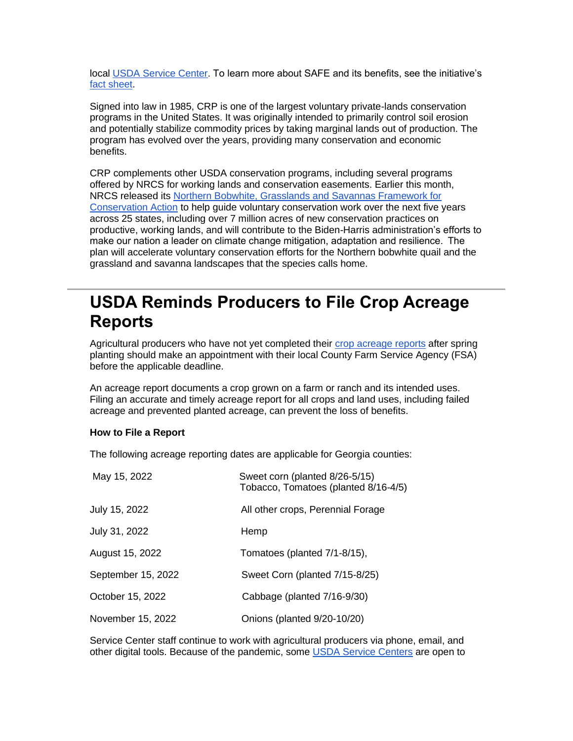local [USDA Service Center.](http://www.farmers.gov/service-locator?utm_medium=email&utm_source=govdelivery) To learn more about SAFE and its benefits, see the initiative's [fact sheet.](https://gcc02.safelinks.protection.outlook.com/?url=https%3A%2F%2Fwww.fsa.usda.gov%2FAssets%2FUSDA-FSA-Public%2Fusdafiles%2FFactSheets%2F2019%2Fcrp_safe_initiative-fact_sheet.pdf%3Futm_medium%3Demail%26utm_source%3Dgovdelivery&data=05%7C01%7C%7Cdf61ec3bdd164218b99908da2217c3b8%7Ced5b36e701ee4ebc867ee03cfa0d4697%7C0%7C0%7C637859783462628803%7CUnknown%7CTWFpbGZsb3d8eyJWIjoiMC4wLjAwMDAiLCJQIjoiV2luMzIiLCJBTiI6Ik1haWwiLCJXVCI6Mn0%3D%7C3000%7C%7C%7C&sdata=aLw0f5zJSFvQ5u1vocxorraPrUi9pt2%2B2i9CJXzz6WQ%3D&reserved=0)

Signed into law in 1985, CRP is one of the largest voluntary private-lands conservation programs in the United States. It was originally intended to primarily control soil erosion and potentially stabilize commodity prices by taking marginal lands out of production. The program has evolved over the years, providing many conservation and economic benefits.

CRP complements other USDA conservation programs, including several programs offered by NRCS for working lands and conservation easements. Earlier this month, NRCS released its [Northern Bobwhite, Grasslands and Savannas Framework for](https://gcc02.safelinks.protection.outlook.com/?url=https%3A%2F%2Fwww.nrcs.usda.gov%2Fwps%2Fportal%2Fnrcs%2Fdetail%2Fnational%2Fnewsroom%2Freleases%2F%3Fcid%3DNRCSEPRD1906032%26utm_medium%3Demail%26utm_source%3Dgovdelivery&data=05%7C01%7C%7Cdf61ec3bdd164218b99908da2217c3b8%7Ced5b36e701ee4ebc867ee03cfa0d4697%7C0%7C0%7C637859783462628803%7CUnknown%7CTWFpbGZsb3d8eyJWIjoiMC4wLjAwMDAiLCJQIjoiV2luMzIiLCJBTiI6Ik1haWwiLCJXVCI6Mn0%3D%7C3000%7C%7C%7C&sdata=3bjuUEgf1vHLxYBAtVX5kFZ6NUKi8QrsKIbg3ilbiyM%3D&reserved=0)  [Conservation Action](https://gcc02.safelinks.protection.outlook.com/?url=https%3A%2F%2Fwww.nrcs.usda.gov%2Fwps%2Fportal%2Fnrcs%2Fdetail%2Fnational%2Fnewsroom%2Freleases%2F%3Fcid%3DNRCSEPRD1906032%26utm_medium%3Demail%26utm_source%3Dgovdelivery&data=05%7C01%7C%7Cdf61ec3bdd164218b99908da2217c3b8%7Ced5b36e701ee4ebc867ee03cfa0d4697%7C0%7C0%7C637859783462628803%7CUnknown%7CTWFpbGZsb3d8eyJWIjoiMC4wLjAwMDAiLCJQIjoiV2luMzIiLCJBTiI6Ik1haWwiLCJXVCI6Mn0%3D%7C3000%7C%7C%7C&sdata=3bjuUEgf1vHLxYBAtVX5kFZ6NUKi8QrsKIbg3ilbiyM%3D&reserved=0) to help guide voluntary conservation work over the next five years across 25 states, including over 7 million acres of new conservation practices on productive, working lands, and will contribute to the Biden-Harris administration's efforts to make our nation a leader on climate change mitigation, adaptation and resilience.  The plan will accelerate voluntary conservation efforts for the Northern bobwhite quail and the grassland and savanna landscapes that the species calls home.

### <span id="page-4-0"></span>**USDA Reminds Producers to File Crop Acreage Reports**

Agricultural producers who have not yet completed their [crop acreage reports](https://www.farmers.gov/crop-acreage-reports?utm_medium=email&utm_source=govdelivery) after spring planting should make an appointment with their local County Farm Service Agency (FSA) before the applicable deadline.

An acreage report documents a crop grown on a farm or ranch and its intended uses. Filing an accurate and timely acreage report for all crops and land uses, including failed acreage and prevented planted acreage, can prevent the loss of benefits.

#### **How to File a Report**

The following acreage reporting dates are applicable for Georgia counties:

| May 15, 2022       | Sweet corn (planted 8/26-5/15)<br>Tobacco, Tomatoes (planted 8/16-4/5) |
|--------------------|------------------------------------------------------------------------|
| July 15, 2022      | All other crops, Perennial Forage                                      |
| July 31, 2022      | Hemp                                                                   |
| August 15, 2022    | Tomatoes (planted 7/1-8/15),                                           |
| September 15, 2022 | Sweet Corn (planted 7/15-8/25)                                         |
| October 15, 2022   | Cabbage (planted 7/16-9/30)                                            |
| November 15, 2022  | Onions (planted 9/20-10/20)                                            |

Service Center staff continue to work with agricultural producers via phone, email, and other digital tools. Because of the pandemic, some [USDA Service Centers](http://www.farmers.gov/service-locator?utm_medium=email&utm_source=govdelivery) are open to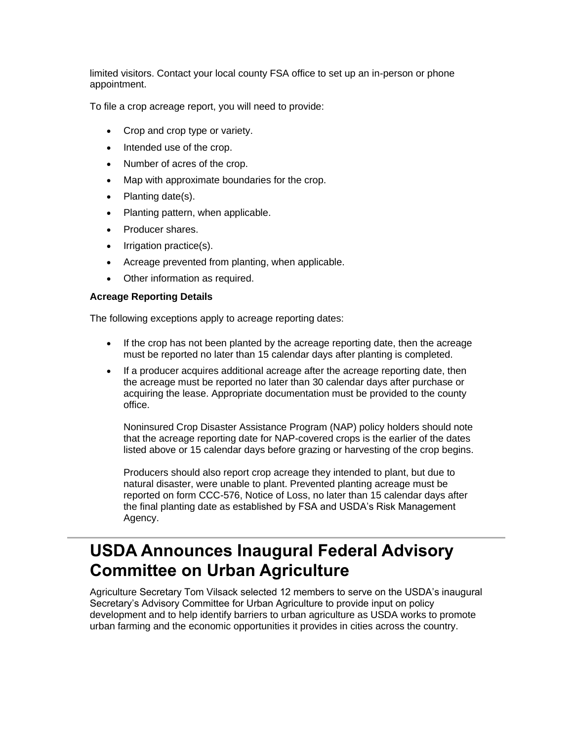limited visitors. Contact your local county FSA office to set up an in-person or phone appointment.

To file a crop acreage report, you will need to provide:

- Crop and crop type or variety.
- Intended use of the crop.
- Number of acres of the crop.
- Map with approximate boundaries for the crop.
- Planting date(s).
- Planting pattern, when applicable.
- Producer shares.
- Irrigation practice(s).
- Acreage prevented from planting, when applicable.
- Other information as required.

#### **Acreage Reporting Details**

The following exceptions apply to acreage reporting dates:

- If the crop has not been planted by the acreage reporting date, then the acreage must be reported no later than 15 calendar days after planting is completed.
- If a producer acquires additional acreage after the acreage reporting date, then the acreage must be reported no later than 30 calendar days after purchase or acquiring the lease. Appropriate documentation must be provided to the county office.

Noninsured Crop Disaster Assistance Program (NAP) policy holders should note that the acreage reporting date for NAP-covered crops is the earlier of the dates listed above or 15 calendar days before grazing or harvesting of the crop begins.

Producers should also report crop acreage they intended to plant, but due to natural disaster, were unable to plant. Prevented planting acreage must be reported on form CCC-576, Notice of Loss, no later than 15 calendar days after the final planting date as established by FSA and USDA's Risk Management Agency.

# <span id="page-5-0"></span>**USDA Announces Inaugural Federal Advisory Committee on Urban Agriculture**

Agriculture Secretary Tom Vilsack selected 12 members to serve on the USDA's inaugural Secretary's Advisory Committee for Urban Agriculture to provide input on policy development and to help identify barriers to urban agriculture as USDA works to promote urban farming and the economic opportunities it provides in cities across the country.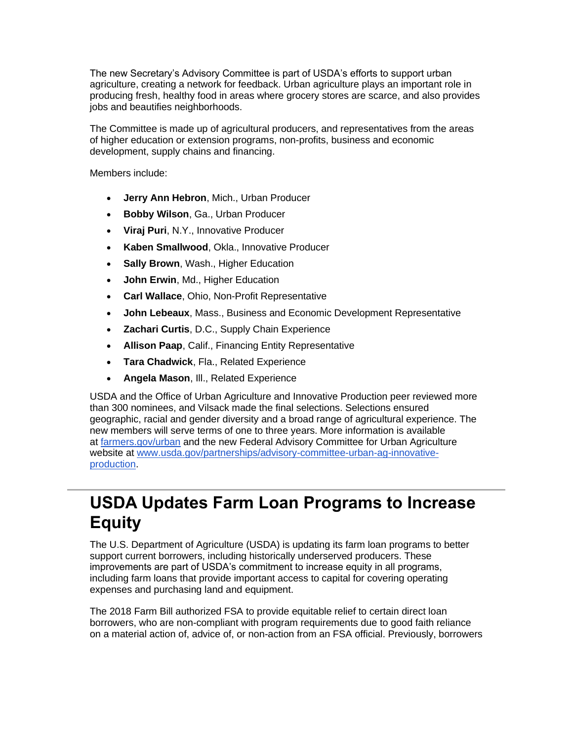The new Secretary's Advisory Committee is part of USDA's efforts to support urban agriculture, creating a network for feedback. Urban agriculture plays an important role in producing fresh, healthy food in areas where grocery stores are scarce, and also provides jobs and beautifies neighborhoods.

The Committee is made up of agricultural producers, and representatives from the areas of higher education or extension programs, non-profits, business and economic development, supply chains and financing.

Members include:

- **Jerry Ann Hebron**, Mich., Urban Producer
- **Bobby Wilson**, Ga., Urban Producer
- **Viraj Puri**, N.Y., Innovative Producer
- **Kaben Smallwood**, Okla., Innovative Producer
- **Sally Brown**, Wash., Higher Education
- **John Erwin**, Md., Higher Education
- **Carl Wallace**, Ohio, Non-Profit Representative
- **John Lebeaux**, Mass., Business and Economic Development Representative
- **Zachari Curtis**, D.C., Supply Chain Experience
- **Allison Paap**, Calif., Financing Entity Representative
- **Tara Chadwick**, Fla., Related Experience
- **Angela Mason**, Ill., Related Experience

USDA and the Office of Urban Agriculture and Innovative Production peer reviewed more than 300 nominees, and Vilsack made the final selections. Selections ensured geographic, racial and gender diversity and a broad range of agricultural experience. The new members will serve terms of one to three years. More information is available at [farmers.gov/urban](https://gcc02.safelinks.protection.outlook.com/?url=http%3A%2F%2Ffarmers.gov%2Furban%3Futm_medium%3Demail%26utm_source%3Dgovdelivery&data=05%7C01%7C%7Cdf61ec3bdd164218b99908da2217c3b8%7Ced5b36e701ee4ebc867ee03cfa0d4697%7C0%7C0%7C637859783462628803%7CUnknown%7CTWFpbGZsb3d8eyJWIjoiMC4wLjAwMDAiLCJQIjoiV2luMzIiLCJBTiI6Ik1haWwiLCJXVCI6Mn0%3D%7C3000%7C%7C%7C&sdata=GM3KWrbmIcm%2FQpkCgCewb8ESKSErjnd1ojagySZnPjQ%3D&reserved=0) and the new Federal Advisory Committee for Urban Agriculture website at [www.usda.gov/partnerships/advisory-committee-urban-ag-innovative](https://www.usda.gov/partnerships/advisory-committee-urban-ag-innovative-production?utm_medium=email&utm_source=govdelivery)[production.](https://www.usda.gov/partnerships/advisory-committee-urban-ag-innovative-production?utm_medium=email&utm_source=govdelivery)

### <span id="page-6-0"></span>**USDA Updates Farm Loan Programs to Increase Equity**

The U.S. Department of Agriculture (USDA) is updating its farm loan programs to better support current borrowers, including historically underserved producers. These improvements are part of USDA's commitment to increase equity in all programs, including farm loans that provide important access to capital for covering operating expenses and purchasing land and equipment.

The 2018 Farm Bill authorized FSA to provide equitable relief to certain direct loan borrowers, who are non-compliant with program requirements due to good faith reliance on a material action of, advice of, or non-action from an FSA official. Previously, borrowers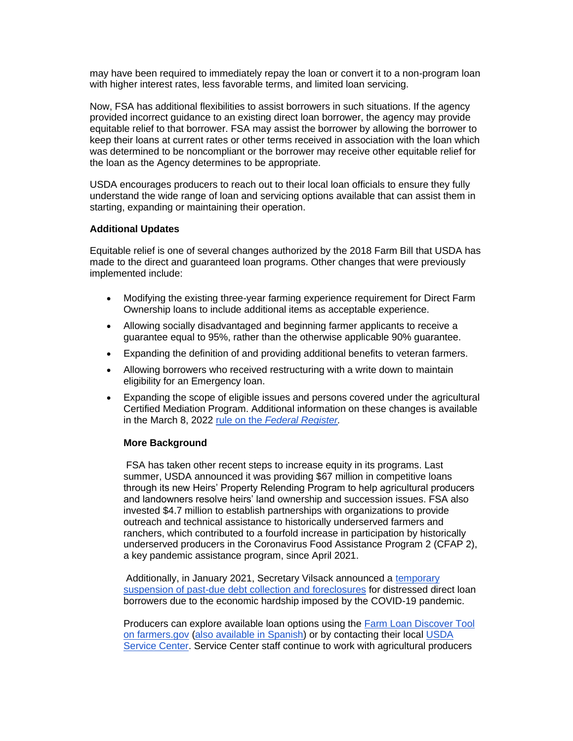may have been required to immediately repay the loan or convert it to a non-program loan with higher interest rates, less favorable terms, and limited loan servicing.

Now, FSA has additional flexibilities to assist borrowers in such situations. If the agency provided incorrect guidance to an existing direct loan borrower, the agency may provide equitable relief to that borrower. FSA may assist the borrower by allowing the borrower to keep their loans at current rates or other terms received in association with the loan which was determined to be noncompliant or the borrower may receive other equitable relief for the loan as the Agency determines to be appropriate.

USDA encourages producers to reach out to their local loan officials to ensure they fully understand the wide range of loan and servicing options available that can assist them in starting, expanding or maintaining their operation.

#### **Additional Updates**

Equitable relief is one of several changes authorized by the 2018 Farm Bill that USDA has made to the direct and guaranteed loan programs. Other changes that were previously implemented include:

- Modifying the existing three-year farming experience requirement for Direct Farm Ownership loans to include additional items as acceptable experience.
- Allowing socially disadvantaged and beginning farmer applicants to receive a guarantee equal to 95%, rather than the otherwise applicable 90% guarantee.
- Expanding the definition of and providing additional benefits to veteran farmers.
- Allowing borrowers who received restructuring with a write down to maintain eligibility for an Emergency loan.
- Expanding the scope of eligible issues and persons covered under the agricultural Certified Mediation Program. Additional information on these changes is available in the March 8, 2022 rule on the *[Federal Register.](https://gcc02.safelinks.protection.outlook.com/?url=https%3A%2F%2Fwww.federalregister.gov%2Fpublic-inspection%2F2022-04858%2Ffarm-loan-programs-direct-and-guaranteed-loan-changes-certified-mediation-program-and-guaranteed%3Futm_medium%3Demail%26utm_source%3Dgovdelivery&data=05%7C01%7C%7Cdf61ec3bdd164218b99908da2217c3b8%7Ced5b36e701ee4ebc867ee03cfa0d4697%7C0%7C0%7C637859783462628803%7CUnknown%7CTWFpbGZsb3d8eyJWIjoiMC4wLjAwMDAiLCJQIjoiV2luMzIiLCJBTiI6Ik1haWwiLCJXVCI6Mn0%3D%7C3000%7C%7C%7C&sdata=RrCPSDnHq1m%2FgEr99EpkVO5QRkg5MlWYv5J5X7tlsxI%3D&reserved=0)*

#### **More Background**

FSA has taken other recent steps to increase equity in its programs. Last summer, USDA announced it was providing \$67 million in competitive loans through its new Heirs' Property Relending Program to help agricultural producers and landowners resolve heirs' land ownership and succession issues. FSA also invested \$4.7 million to establish partnerships with organizations to provide outreach and technical assistance to historically underserved farmers and ranchers, which contributed to a fourfold increase in participation by historically underserved producers in the Coronavirus Food Assistance Program 2 (CFAP 2), a key pandemic assistance program, since April 2021.

Additionally, in January 2021, Secretary Vilsack announced a [temporary](https://www.farmers.gov/blog/update-no-accelerating-or-foreclosing-on-any-direct-loans?utm_medium=email&utm_source=govdelivery)  [suspension of past-due debt collection and foreclosures](https://www.farmers.gov/blog/update-no-accelerating-or-foreclosing-on-any-direct-loans?utm_medium=email&utm_source=govdelivery) for distressed direct loan borrowers due to the economic hardship imposed by the COVID-19 pandemic.

Producers can explore available loan options using the [Farm Loan Discover Tool](https://www.farmers.gov/loans/farm-loan-discovery-tool?utm_medium=email&utm_source=govdelivery)  [on farmers.gov](https://www.farmers.gov/loans/farm-loan-discovery-tool?utm_medium=email&utm_source=govdelivery) [\(also available in Spanish\)](https://www.farmers.gov/spanish/loans/farm-loan-discovery-tool?utm_medium=email&utm_source=govdelivery) or by contacting their local [USDA](http://www.farmers.gov/service-locator?utm_medium=email&utm_source=govdelivery)  [Service Center.](http://www.farmers.gov/service-locator?utm_medium=email&utm_source=govdelivery) Service Center staff continue to work with agricultural producers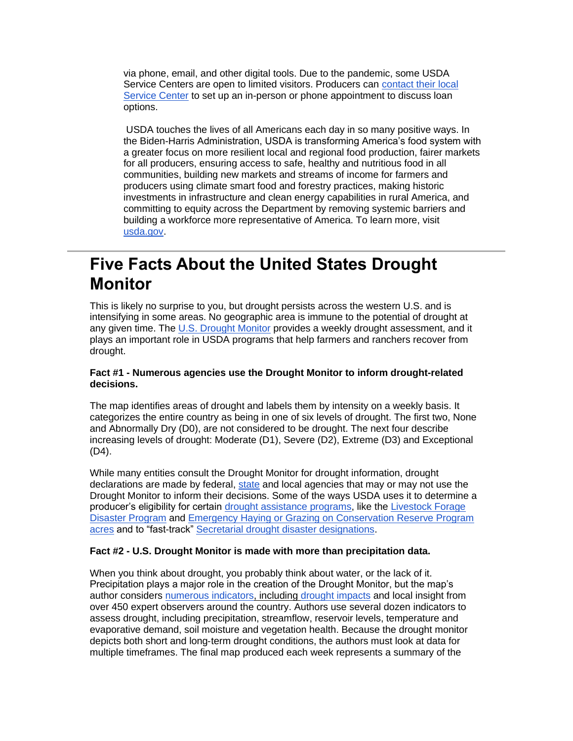via phone, email, and other digital tools. Due to the pandemic, some USDA Service Centers are open to limited visitors. Producers can [contact their local](http://www.farmers.gov/service-locator?utm_medium=email&utm_source=govdelivery)  [Service Center](http://www.farmers.gov/service-locator?utm_medium=email&utm_source=govdelivery) to set up an in-person or phone appointment to discuss loan options.

USDA touches the lives of all Americans each day in so many positive ways. In the Biden-Harris Administration, USDA is transforming America's food system with a greater focus on more resilient local and regional food production, fairer markets for all producers, ensuring access to safe, healthy and nutritious food in all communities, building new markets and streams of income for farmers and producers using climate smart food and forestry practices, making historic investments in infrastructure and clean energy capabilities in rural America, and committing to equity across the Department by removing systemic barriers and building a workforce more representative of America. To learn more, visit [usda.gov.](http://www.usda.gov/?utm_medium=email&utm_source=govdelivery)

# <span id="page-8-0"></span>**Five Facts About the United States Drought Monitor**

This is likely no surprise to you, but drought persists across the western U.S. and is intensifying in some areas. No geographic area is immune to the potential of drought at any given time. The U.S. [Drought Monitor](https://gcc02.safelinks.protection.outlook.com/?url=https%3A%2F%2Fdroughtmonitor.unl.edu%2F%3Futm_medium%3Demail%26utm_source%3Dgovdelivery&data=05%7C01%7C%7Cdf61ec3bdd164218b99908da2217c3b8%7Ced5b36e701ee4ebc867ee03cfa0d4697%7C0%7C0%7C637859783462628803%7CUnknown%7CTWFpbGZsb3d8eyJWIjoiMC4wLjAwMDAiLCJQIjoiV2luMzIiLCJBTiI6Ik1haWwiLCJXVCI6Mn0%3D%7C3000%7C%7C%7C&sdata=lJpw87EFt3hfIrSJ46Wtki6afzRKWxHbxwRTa5uAZkI%3D&reserved=0) provides a weekly drought assessment, and it plays an important role in USDA programs that help farmers and ranchers recover from drought.

#### **Fact #1 - Numerous agencies use the Drought Monitor to inform drought-related decisions.**

The map identifies areas of drought and labels them by intensity on a weekly basis. It categorizes the entire country as being in one of six levels of drought. The first two, None and Abnormally Dry (D0), are not considered to be drought. The next four describe increasing levels of drought: Moderate (D1), Severe (D2), Extreme (D3) and Exceptional (D4).

While many entities consult the Drought Monitor for drought information, drought declarations are made by federal, [state](https://gcc02.safelinks.protection.outlook.com/?url=https%3A%2F%2Fdrought.unl.edu%2Fdroughtplanning%2FInfobyState.aspx%3Futm_medium%3Demail%26utm_source%3Dgovdelivery&data=05%7C01%7C%7Cdf61ec3bdd164218b99908da2217c3b8%7Ced5b36e701ee4ebc867ee03cfa0d4697%7C0%7C0%7C637859783462628803%7CUnknown%7CTWFpbGZsb3d8eyJWIjoiMC4wLjAwMDAiLCJQIjoiV2luMzIiLCJBTiI6Ik1haWwiLCJXVCI6Mn0%3D%7C3000%7C%7C%7C&sdata=KjPcz2803GKptg%2FYDpgNxpJp%2FJFvdQgeUqfnqTbjOVI%3D&reserved=0) and local agencies that may or may not use the Drought Monitor to inform their decisions. Some of the ways USDA uses it to determine a producer's eligibility for certain [drought assistance programs,](https://gcc02.safelinks.protection.outlook.com/?url=https%3A%2F%2Fwww.fsa.usda.gov%2Fprograms-and-services%2Fdisaster-assistance-program%2Findex%3Futm_medium%3Demail%26utm_source%3Dgovdelivery&data=05%7C01%7C%7Cdf61ec3bdd164218b99908da2217c3b8%7Ced5b36e701ee4ebc867ee03cfa0d4697%7C0%7C0%7C637859783462628803%7CUnknown%7CTWFpbGZsb3d8eyJWIjoiMC4wLjAwMDAiLCJQIjoiV2luMzIiLCJBTiI6Ik1haWwiLCJXVCI6Mn0%3D%7C3000%7C%7C%7C&sdata=CiRbo4i%2FOHIschX%2F97tS7YqPzN7jASwaEyIZ3Qe1T5c%3D&reserved=0) like the Livestock Forage [Disaster Program](https://gcc02.safelinks.protection.outlook.com/?url=https%3A%2F%2Fwww.fsa.usda.gov%2Fprograms-and-services%2Fdisaster-assistance-program%2Flivestock-forage%2Findex%3Futm_medium%3Demail%26utm_source%3Dgovdelivery&data=05%7C01%7C%7Cdf61ec3bdd164218b99908da2217c3b8%7Ced5b36e701ee4ebc867ee03cfa0d4697%7C0%7C0%7C637859783462628803%7CUnknown%7CTWFpbGZsb3d8eyJWIjoiMC4wLjAwMDAiLCJQIjoiV2luMzIiLCJBTiI6Ik1haWwiLCJXVCI6Mn0%3D%7C3000%7C%7C%7C&sdata=ai%2BJH6oO6RJJmHZFdXcEkDw4KgNAXGz8PsJkh4r7bhs%3D&reserved=0) and [Emergency Haying or Grazing on Conservation Reserve Program](https://gcc02.safelinks.protection.outlook.com/?url=https%3A%2F%2Fwww.fsa.usda.gov%2FAssets%2FUSDA-FSA-Public%2Fusdafiles%2FFactSheets%2Fcrp_haying_grazing_factsheet.pdf%3Futm_medium%3Demail%26utm_source%3Dgovdelivery&data=05%7C01%7C%7Cdf61ec3bdd164218b99908da2217c3b8%7Ced5b36e701ee4ebc867ee03cfa0d4697%7C0%7C0%7C637859783462628803%7CUnknown%7CTWFpbGZsb3d8eyJWIjoiMC4wLjAwMDAiLCJQIjoiV2luMzIiLCJBTiI6Ik1haWwiLCJXVCI6Mn0%3D%7C3000%7C%7C%7C&sdata=5b2mCJfg40kcwjuTG8%2Bs07VCBUOnWsEomaosPPYKOEg%3D&reserved=0)  [acres](https://gcc02.safelinks.protection.outlook.com/?url=https%3A%2F%2Fwww.fsa.usda.gov%2FAssets%2FUSDA-FSA-Public%2Fusdafiles%2FFactSheets%2Fcrp_haying_grazing_factsheet.pdf%3Futm_medium%3Demail%26utm_source%3Dgovdelivery&data=05%7C01%7C%7Cdf61ec3bdd164218b99908da2217c3b8%7Ced5b36e701ee4ebc867ee03cfa0d4697%7C0%7C0%7C637859783462628803%7CUnknown%7CTWFpbGZsb3d8eyJWIjoiMC4wLjAwMDAiLCJQIjoiV2luMzIiLCJBTiI6Ik1haWwiLCJXVCI6Mn0%3D%7C3000%7C%7C%7C&sdata=5b2mCJfg40kcwjuTG8%2Bs07VCBUOnWsEomaosPPYKOEg%3D&reserved=0) and to "fast-track" [Secretarial drought disaster designations.](https://gcc02.safelinks.protection.outlook.com/?url=https%3A%2F%2Fwww.fsa.usda.gov%2Fprograms-and-services%2Fdisaster-assistance-program%2Fdisaster-designation-information%2Findex%3Futm_medium%3Demail%26utm_source%3Dgovdelivery&data=05%7C01%7C%7Cdf61ec3bdd164218b99908da2217c3b8%7Ced5b36e701ee4ebc867ee03cfa0d4697%7C0%7C0%7C637859783462628803%7CUnknown%7CTWFpbGZsb3d8eyJWIjoiMC4wLjAwMDAiLCJQIjoiV2luMzIiLCJBTiI6Ik1haWwiLCJXVCI6Mn0%3D%7C3000%7C%7C%7C&sdata=glcLPMYN1q3MqEC7iZR36EOvYI%2FBOOXbnJaVcdj0YPo%3D&reserved=0)

#### **Fact #2 - U.S. Drought Monitor is made with more than precipitation data.**

When you think about drought, you probably think about water, or the lack of it. Precipitation plays a major role in the creation of the Drought Monitor, but the map's author considers [numerous indicators,](https://gcc02.safelinks.protection.outlook.com/?url=https%3A%2F%2Fwww.droughtmanagement.info%2Ffind%2Fguidelines-tools%2Fhandbook-drought-indicators-and-indices%2F%3Futm_medium%3Demail%26utm_source%3Dgovdelivery&data=05%7C01%7C%7Cdf61ec3bdd164218b99908da2217c3b8%7Ced5b36e701ee4ebc867ee03cfa0d4697%7C0%7C0%7C637859783462628803%7CUnknown%7CTWFpbGZsb3d8eyJWIjoiMC4wLjAwMDAiLCJQIjoiV2luMzIiLCJBTiI6Ik1haWwiLCJXVCI6Mn0%3D%7C3000%7C%7C%7C&sdata=i%2FYYdUNFmErFxv0K7n8%2FQmOu6RPR418OTZpSmKhpqzM%3D&reserved=0) including [drought impacts](https://gcc02.safelinks.protection.outlook.com/?url=https%3A%2F%2Fdroughtimpacts.unl.edu%2F%3Futm_medium%3Demail%26utm_source%3Dgovdelivery&data=05%7C01%7C%7Cdf61ec3bdd164218b99908da2217c3b8%7Ced5b36e701ee4ebc867ee03cfa0d4697%7C0%7C0%7C637859783462628803%7CUnknown%7CTWFpbGZsb3d8eyJWIjoiMC4wLjAwMDAiLCJQIjoiV2luMzIiLCJBTiI6Ik1haWwiLCJXVCI6Mn0%3D%7C3000%7C%7C%7C&sdata=d1ed6EdJI6DxPJC5lAbeRujDndg3dVu0QYJKgfdfO2Y%3D&reserved=0) and local insight from over 450 expert observers around the country. Authors use several dozen indicators to assess drought, including precipitation, streamflow, reservoir levels, temperature and evaporative demand, soil moisture and vegetation health. Because the drought monitor depicts both short and long‐term drought conditions, the authors must look at data for multiple timeframes. The final map produced each week represents a summary of the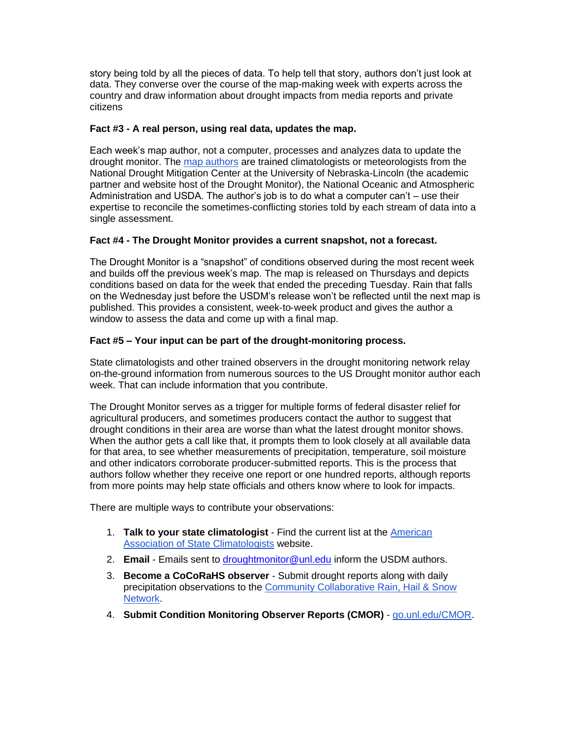story being told by all the pieces of data. To help tell that story, authors don't just look at data. They converse over the course of the map-making week with experts across the country and draw information about drought impacts from media reports and private citizens

#### **Fact #3 - A real person, using real data, updates the map.**

Each week's map author, not a computer, processes and analyzes data to update the drought monitor. The [map authors](https://gcc02.safelinks.protection.outlook.com/?url=https%3A%2F%2Fdroughtmonitor.unl.edu%2FAbout%2FContactUs.aspx%3Futm_medium%3Demail%26utm_source%3Dgovdelivery&data=05%7C01%7C%7Cdf61ec3bdd164218b99908da2217c3b8%7Ced5b36e701ee4ebc867ee03cfa0d4697%7C0%7C0%7C637859783462628803%7CUnknown%7CTWFpbGZsb3d8eyJWIjoiMC4wLjAwMDAiLCJQIjoiV2luMzIiLCJBTiI6Ik1haWwiLCJXVCI6Mn0%3D%7C3000%7C%7C%7C&sdata=4FMNgt7EsFrLqMUgTD%2FKA8RF0TgYwZQWqj6A8tjcA5A%3D&reserved=0) are trained climatologists or meteorologists from the National Drought Mitigation Center at the University of Nebraska-Lincoln (the academic partner and website host of the Drought Monitor), the National Oceanic and Atmospheric Administration and USDA. The author's job is to do what a computer can't – use their expertise to reconcile the sometimes-conflicting stories told by each stream of data into a single assessment.

#### **Fact #4 - The Drought Monitor provides a current snapshot, not a forecast.**

The Drought Monitor is a "snapshot" of conditions observed during the most recent week and builds off the previous week's map. The map is released on Thursdays and depicts conditions based on data for the week that ended the preceding Tuesday. Rain that falls on the Wednesday just before the USDM's release won't be reflected until the next map is published. This provides a consistent, week‐to‐week product and gives the author a window to assess the data and come up with a final map.

#### **Fact #5 – Your input can be part of the drought-monitoring process.**

State climatologists and other trained observers in the drought monitoring network relay on-the-ground information from numerous sources to the US Drought monitor author each week. That can include information that you contribute.

The Drought Monitor serves as a trigger for multiple forms of federal disaster relief for agricultural producers, and sometimes producers contact the author to suggest that drought conditions in their area are worse than what the latest drought monitor shows. When the author gets a call like that, it prompts them to look closely at all available data for that area, to see whether measurements of precipitation, temperature, soil moisture and other indicators corroborate producer-submitted reports. This is the process that authors follow whether they receive one report or one hundred reports, although reports from more points may help state officials and others know where to look for impacts.

There are multiple ways to contribute your observations:

- 1. **Talk to your state climatologist** Find the current list at the [American](https://gcc02.safelinks.protection.outlook.com/?url=https%3A%2F%2Fstateclimate.org%2F%3Futm_medium%3Demail%26utm_source%3Dgovdelivery&data=05%7C01%7C%7Cdf61ec3bdd164218b99908da2217c3b8%7Ced5b36e701ee4ebc867ee03cfa0d4697%7C0%7C0%7C637859783462628803%7CUnknown%7CTWFpbGZsb3d8eyJWIjoiMC4wLjAwMDAiLCJQIjoiV2luMzIiLCJBTiI6Ik1haWwiLCJXVCI6Mn0%3D%7C3000%7C%7C%7C&sdata=Q3xRnYkdKaQTFbbrCtExo3hNruC%2B1vQvoYjPNaTu0bI%3D&reserved=0)  [Association of State Climatologists](https://gcc02.safelinks.protection.outlook.com/?url=https%3A%2F%2Fstateclimate.org%2F%3Futm_medium%3Demail%26utm_source%3Dgovdelivery&data=05%7C01%7C%7Cdf61ec3bdd164218b99908da2217c3b8%7Ced5b36e701ee4ebc867ee03cfa0d4697%7C0%7C0%7C637859783462628803%7CUnknown%7CTWFpbGZsb3d8eyJWIjoiMC4wLjAwMDAiLCJQIjoiV2luMzIiLCJBTiI6Ik1haWwiLCJXVCI6Mn0%3D%7C3000%7C%7C%7C&sdata=Q3xRnYkdKaQTFbbrCtExo3hNruC%2B1vQvoYjPNaTu0bI%3D&reserved=0) website.
- 2. **Email** Emails sent to [droughtmonitor@unl.edu](mailto:droughtmonitor@unl.edu) inform the USDM authors.
- 3. **Become a CoCoRaHS observer** Submit drought reports along with daily precipitation observations to the [Community Collaborative Rain, Hail & Snow](https://gcc02.safelinks.protection.outlook.com/?url=https%3A%2F%2Fwww.cocorahs.org%2F%3Futm_medium%3Demail%26utm_source%3Dgovdelivery&data=05%7C01%7C%7Cdf61ec3bdd164218b99908da2217c3b8%7Ced5b36e701ee4ebc867ee03cfa0d4697%7C0%7C0%7C637859783462628803%7CUnknown%7CTWFpbGZsb3d8eyJWIjoiMC4wLjAwMDAiLCJQIjoiV2luMzIiLCJBTiI6Ik1haWwiLCJXVCI6Mn0%3D%7C3000%7C%7C%7C&sdata=LI2YLerfqlLOObwLLpWw1apm1wLdhBtB%2FZLWrvnwZW8%3D&reserved=0)  [Network.](https://gcc02.safelinks.protection.outlook.com/?url=https%3A%2F%2Fwww.cocorahs.org%2F%3Futm_medium%3Demail%26utm_source%3Dgovdelivery&data=05%7C01%7C%7Cdf61ec3bdd164218b99908da2217c3b8%7Ced5b36e701ee4ebc867ee03cfa0d4697%7C0%7C0%7C637859783462628803%7CUnknown%7CTWFpbGZsb3d8eyJWIjoiMC4wLjAwMDAiLCJQIjoiV2luMzIiLCJBTiI6Ik1haWwiLCJXVCI6Mn0%3D%7C3000%7C%7C%7C&sdata=LI2YLerfqlLOObwLLpWw1apm1wLdhBtB%2FZLWrvnwZW8%3D&reserved=0)
- 4. **Submit Condition Monitoring Observer Reports (CMOR)** [go.unl.edu/CMOR.](https://gcc02.safelinks.protection.outlook.com/?url=https%3A%2F%2Fsurvey123.arcgis.com%2Fshare%2Fff127a29aa23413c9cd2d9e8176c4669%3Fopen%3Dmenu%26utm_medium%3Demail%26utm_source%3Dgovdelivery&data=05%7C01%7C%7Cdf61ec3bdd164218b99908da2217c3b8%7Ced5b36e701ee4ebc867ee03cfa0d4697%7C0%7C0%7C637859783462628803%7CUnknown%7CTWFpbGZsb3d8eyJWIjoiMC4wLjAwMDAiLCJQIjoiV2luMzIiLCJBTiI6Ik1haWwiLCJXVCI6Mn0%3D%7C3000%7C%7C%7C&sdata=xZQrPWpPauqwNA%2Bu24i2Yu8Ra4wAfYwq8J9hYOF%2B3MY%3D&reserved=0)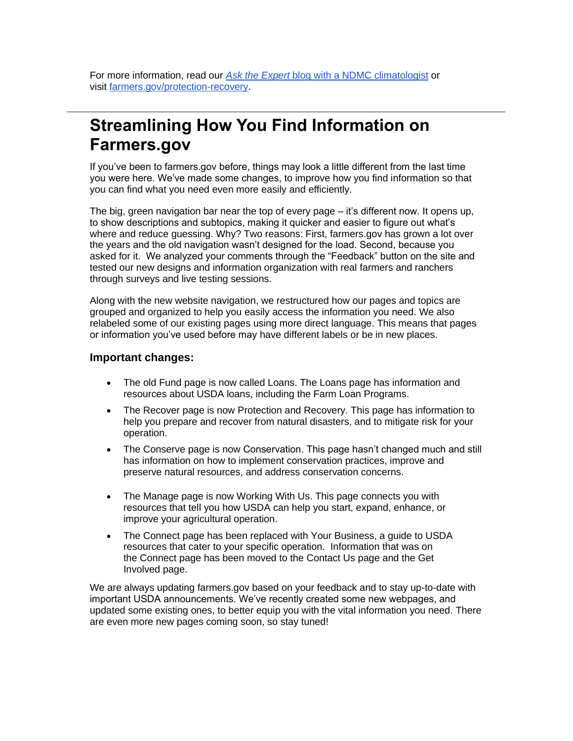For more information, read our *Ask the Expert* [blog with a NDMC climatologist](https://www.farmers.gov/blog/disaster-planning-and-assistance/ask-expert-understanding-us-drought-monitor-qa-brian-fuchs?utm_medium=email&utm_source=govdelivery) or visit [farmers.gov/protection-recovery.](https://www.farmers.gov/protection-recovery/drought?utm_medium=email&utm_source=govdelivery)

### <span id="page-10-0"></span>**Streamlining How You Find Information on Farmers.gov**

If you've been to farmers.gov before, things may look a little different from the last time you were here. We've made some changes, to improve how you find information so that you can find what you need even more easily and efficiently.

The big, green navigation bar near the top of every page – it's different now. It opens up, to show descriptions and subtopics, making it quicker and easier to figure out what's where and reduce guessing. Why? Two reasons: First, farmers.gov has grown a lot over the years and the old navigation wasn't designed for the load. Second, because you asked for it. We analyzed your comments through the "Feedback" button on the site and tested our new designs and information organization with real farmers and ranchers through surveys and live testing sessions.

Along with the new website navigation, we restructured how our pages and topics are grouped and organized to help you easily access the information you need. We also relabeled some of our existing pages using more direct language. This means that pages or information you've used before may have different labels or be in new places.

#### **Important changes:**

- The old Fund page is now called Loans. The Loans page has information and resources about USDA loans, including the Farm Loan Programs.
- The Recover page is now Protection and Recovery. This page has information to help you prepare and recover from natural disasters, and to mitigate risk for your operation.
- The Conserve page is now Conservation. This page hasn't changed much and still has information on how to implement conservation practices, improve and preserve natural resources, and address conservation concerns.
- The Manage page is now Working With Us. This page connects you with resources that tell you how USDA can help you start, expand, enhance, or improve your agricultural operation.
- The Connect page has been replaced with Your Business, a guide to USDA resources that cater to your specific operation. Information that was on the Connect page has been moved to the Contact Us page and the Get Involved page.

We are always updating farmers.gov based on your feedback and to stay up-to-date with important USDA announcements. We've recently created some new webpages, and updated some existing ones, to better equip you with the vital information you need. There are even more new pages coming soon, so stay tuned!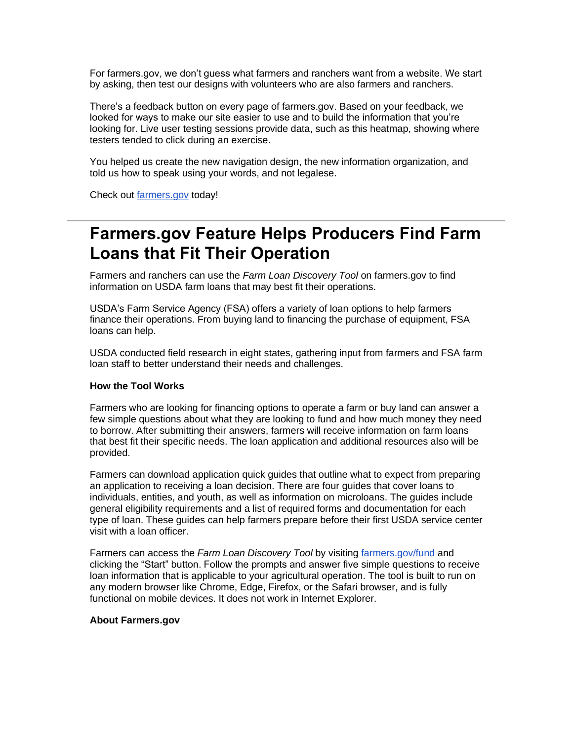For farmers.gov, we don't guess what farmers and ranchers want from a website. We start by asking, then test our designs with volunteers who are also farmers and ranchers.

There's a feedback button on every page of farmers.gov. Based on your feedback, we looked for ways to make our site easier to use and to build the information that you're looking for. Live user testing sessions provide data, such as this heatmap, showing where testers tended to click during an exercise.

You helped us create the new navigation design, the new information organization, and told us how to speak using your words, and not legalese.

Check out [farmers.gov](https://www.farmers.gov/?utm_medium=email&utm_source=govdelivery) today!

### <span id="page-11-0"></span>**Farmers.gov Feature Helps Producers Find Farm Loans that Fit Their Operation**

Farmers and ranchers can use the *Farm Loan Discovery Tool* on farmers.gov to find information on USDA farm loans that may best fit their operations.

USDA's Farm Service Agency (FSA) offers a variety of loan options to help farmers finance their operations. From buying land to financing the purchase of equipment, FSA loans can help.

USDA conducted field research in eight states, gathering input from farmers and FSA farm loan staff to better understand their needs and challenges.

#### **How the Tool Works**

Farmers who are looking for financing options to operate a farm or buy land can answer a few simple questions about what they are looking to fund and how much money they need to borrow. After submitting their answers, farmers will receive information on farm loans that best fit their specific needs. The loan application and additional resources also will be provided.

Farmers can download application quick guides that outline what to expect from preparing an application to receiving a loan decision. There are four guides that cover loans to individuals, entities, and youth, as well as information on microloans. The guides include general eligibility requirements and a list of required forms and documentation for each type of loan. These guides can help farmers prepare before their first USDA service center visit with a loan officer.

Farmers can access the *Farm Loan Discovery Tool* by visiting [farmers.gov/fund](https://www.farmers.gov/fund?utm_medium=email&utm_source=govdelivery) and clicking the "Start" button. Follow the prompts and answer five simple questions to receive loan information that is applicable to your agricultural operation. The tool is built to run on any modern browser like Chrome, Edge, Firefox, or the Safari browser, and is fully functional on mobile devices. It does not work in Internet Explorer.

#### **About Farmers.gov**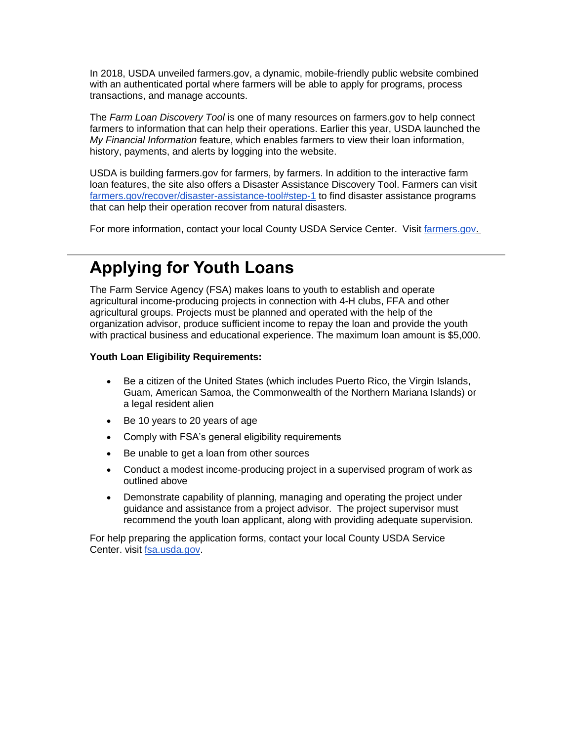In 2018, USDA unveiled farmers.gov, a dynamic, mobile-friendly public website combined with an authenticated portal where farmers will be able to apply for programs, process transactions, and manage accounts.

The *Farm Loan Discovery Tool* is one of many resources on farmers.gov to help connect farmers to information that can help their operations. Earlier this year, USDA launched the *My Financial Information* feature, which enables farmers to view their loan information, history, payments, and alerts by logging into the website.

USDA is building farmers.gov for farmers, by farmers. In addition to the interactive farm loan features, the site also offers a Disaster Assistance Discovery Tool. Farmers can visit [farmers.gov/recover/disaster-assistance-tool#step-1](https://www.farmers.gov/recover/disaster-assistance-tool?utm_medium=email&utm_source=govdelivery#step-1) to find disaster assistance programs that can help their operation recover from natural disasters.

For more information, contact your local County USDA Service Center. Visit [farmers.gov.](https://www.farmers.gov/?utm_medium=email&utm_source=govdelivery)

# <span id="page-12-0"></span>**Applying for Youth Loans**

The Farm Service Agency (FSA) makes loans to youth to establish and operate agricultural income-producing projects in connection with 4-H clubs, FFA and other agricultural groups. Projects must be planned and operated with the help of the organization advisor, produce sufficient income to repay the loan and provide the youth with practical business and educational experience. The maximum loan amount is \$5,000.

#### **Youth Loan Eligibility Requirements:**

- Be a citizen of the United States (which includes Puerto Rico, the Virgin Islands, Guam, American Samoa, the Commonwealth of the Northern Mariana Islands) or a legal resident alien
- Be 10 years to 20 years of age
- Comply with FSA's general eligibility requirements
- Be unable to get a loan from other sources
- Conduct a modest income-producing project in a supervised program of work as outlined above
- Demonstrate capability of planning, managing and operating the project under guidance and assistance from a project advisor. The project supervisor must recommend the youth loan applicant, along with providing adequate supervision.

For help preparing the application forms, contact your local County USDA Service Center. visit [fsa.usda.gov.](https://gcc02.safelinks.protection.outlook.com/?url=http%3A%2F%2Fwww.fsa.usda.gov%2F%3Futm_medium%3Demail%26utm_source%3Dgovdelivery&data=05%7C01%7C%7Cdf61ec3bdd164218b99908da2217c3b8%7Ced5b36e701ee4ebc867ee03cfa0d4697%7C0%7C0%7C637859783462628803%7CUnknown%7CTWFpbGZsb3d8eyJWIjoiMC4wLjAwMDAiLCJQIjoiV2luMzIiLCJBTiI6Ik1haWwiLCJXVCI6Mn0%3D%7C3000%7C%7C%7C&sdata=IXJN%2BznQxwzZKbXFT3OfCaRZJ6MA1y530b%2FEtFfZQ7k%3D&reserved=0)